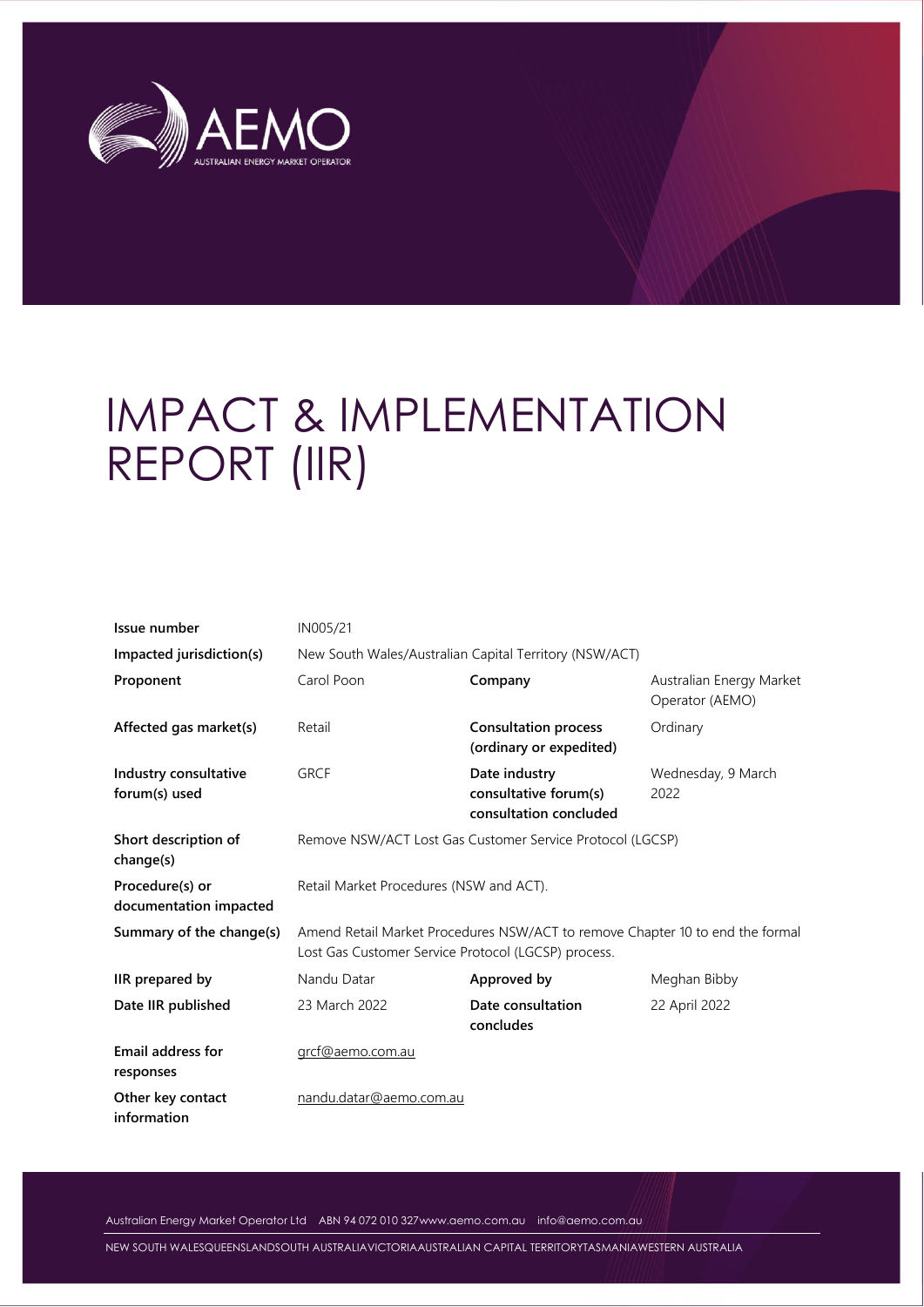

# IMPACT & IMPLEMENTATION REPORT (IIR)

| Issue number                              | IN005/21                                                                                                                             |                                                                  |                                             |  |  |
|-------------------------------------------|--------------------------------------------------------------------------------------------------------------------------------------|------------------------------------------------------------------|---------------------------------------------|--|--|
| Impacted jurisdiction(s)                  | New South Wales/Australian Capital Territory (NSW/ACT)                                                                               |                                                                  |                                             |  |  |
| Proponent                                 | Carol Poon                                                                                                                           | Company                                                          | Australian Energy Market<br>Operator (AEMO) |  |  |
| Affected gas market(s)                    | Retail                                                                                                                               | <b>Consultation process</b><br>(ordinary or expedited)           | Ordinary                                    |  |  |
| Industry consultative<br>forum(s) used    | <b>GRCF</b>                                                                                                                          | Date industry<br>consultative forum(s)<br>consultation concluded | Wednesday, 9 March<br>2022                  |  |  |
| Short description of<br>change(s)         | Remove NSW/ACT Lost Gas Customer Service Protocol (LGCSP)                                                                            |                                                                  |                                             |  |  |
| Procedure(s) or<br>documentation impacted | Retail Market Procedures (NSW and ACT).                                                                                              |                                                                  |                                             |  |  |
| Summary of the change(s)                  | Amend Retail Market Procedures NSW/ACT to remove Chapter 10 to end the formal<br>Lost Gas Customer Service Protocol (LGCSP) process. |                                                                  |                                             |  |  |
| IIR prepared by                           | Nandu Datar                                                                                                                          | Approved by                                                      | Meghan Bibby                                |  |  |
| Date IIR published                        | 23 March 2022                                                                                                                        | Date consultation<br>concludes                                   | 22 April 2022                               |  |  |
| <b>Email address for</b><br>responses     | grcf@aemo.com.au                                                                                                                     |                                                                  |                                             |  |  |
| Other key contact<br>information          | nandu.datar@aemo.com.au                                                                                                              |                                                                  |                                             |  |  |

Australian Energy Market Operator Ltd ABN 94 072 010 32[7www.aemo.com.au](http://www.aemo.com.au/) [info@aemo.com.au](mailto:info@aemo.com.au)

NEW SOUTH WALESQUEENSLANDSOUTH AUSTRALIAVICTORIAAUSTRALIAN CAPITAL TERRITORYTASMANIAWESTERN AUSTRALIA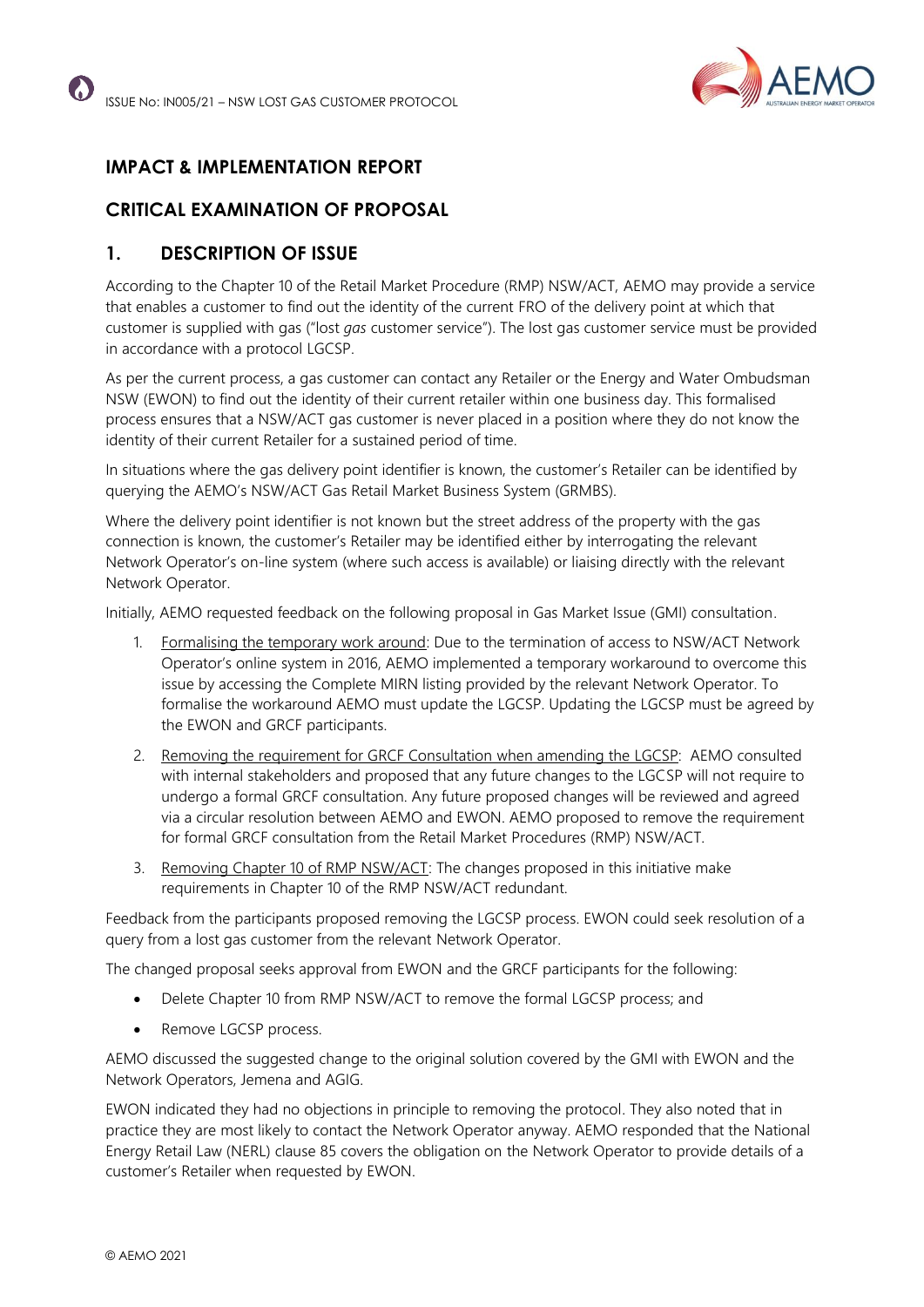

# **IMPACT & IMPLEMENTATION REPORT**

## **CRITICAL EXAMINATION OF PROPOSAL**

### **1. DESCRIPTION OF ISSUE**

According to the Chapter 10 of the Retail Market Procedure (RMP) NSW/ACT, AEMO may provide a service that enables a customer to find out the identity of the current FRO of the delivery point at which that customer is supplied with gas ("lost *gas* customer service"). The lost gas customer service must be provided in accordance with a protocol LGCSP.

As per the current process, a gas customer can contact any Retailer or the Energy and Water Ombudsman NSW (EWON) to find out the identity of their current retailer within one business day. This formalised process ensures that a NSW/ACT gas customer is never placed in a position where they do not know the identity of their current Retailer for a sustained period of time.

In situations where the gas delivery point identifier is known, the customer's Retailer can be identified by querying the AEMO's NSW/ACT Gas Retail Market Business System (GRMBS).

Where the delivery point identifier is not known but the street address of the property with the gas connection is known, the customer's Retailer may be identified either by interrogating the relevant Network Operator's on-line system (where such access is available) or liaising directly with the relevant Network Operator.

Initially, AEMO requested feedback on the following proposal in Gas Market Issue (GMI) consultation.

- 1. Formalising the temporary work around: Due to the termination of access to NSW/ACT Network Operator's online system in 2016, AEMO implemented a temporary workaround to overcome this issue by accessing the Complete MIRN listing provided by the relevant Network Operator. To formalise the workaround AEMO must update the LGCSP. Updating the LGCSP must be agreed by the EWON and GRCF participants.
- 2. Removing the requirement for GRCF Consultation when amending the LGCSP: AEMO consulted with internal stakeholders and proposed that any future changes to the LGCSP will not require to undergo a formal GRCF consultation. Any future proposed changes will be reviewed and agreed via a circular resolution between AEMO and EWON. AEMO proposed to remove the requirement for formal GRCF consultation from the Retail Market Procedures (RMP) NSW/ACT.
- 3. Removing Chapter 10 of RMP NSW/ACT: The changes proposed in this initiative make requirements in Chapter 10 of the RMP NSW/ACT redundant.

Feedback from the participants proposed removing the LGCSP process. EWON could seek resolution of a query from a lost gas customer from the relevant Network Operator.

The changed proposal seeks approval from EWON and the GRCF participants for the following:

- Delete Chapter 10 from RMP NSW/ACT to remove the formal LGCSP process; and
- Remove LGCSP process.

AEMO discussed the suggested change to the original solution covered by the GMI with EWON and the Network Operators, Jemena and AGIG.

EWON indicated they had no objections in principle to removing the protocol. They also noted that in practice they are most likely to contact the Network Operator anyway. AEMO responded that the National Energy Retail Law (NERL) clause 85 covers the obligation on the Network Operator to provide details of a customer's Retailer when requested by EWON.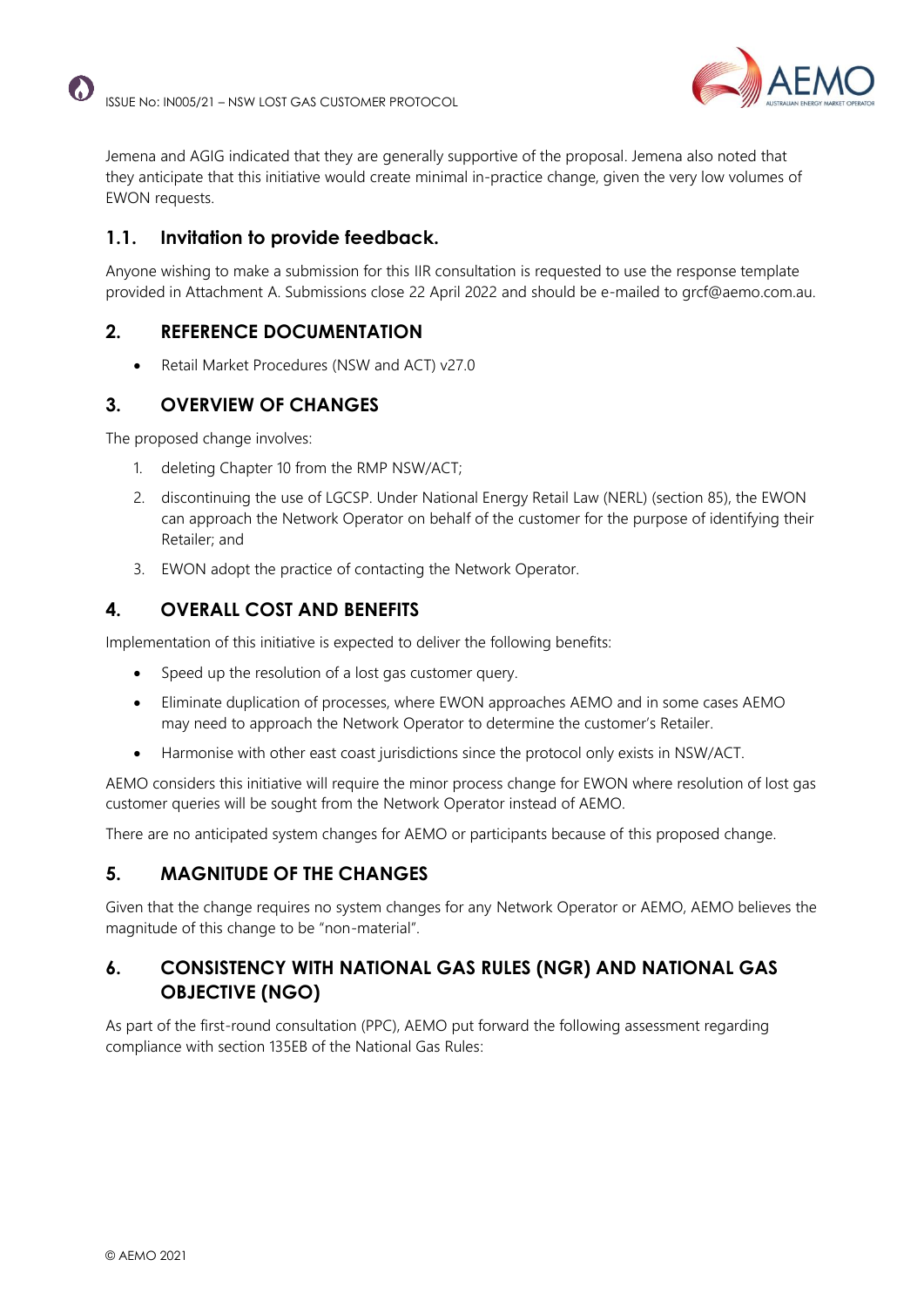

Jemena and AGIG indicated that they are generally supportive of the proposal. Jemena also noted that they anticipate that this initiative would create minimal in-practice change, given the very low volumes of EWON requests.

## **1.1. Invitation to provide feedback.**

Anyone wishing to make a submission for this IIR consultation is requested to use the response template provided in Attachment A. Submissions close 22 April 2022 and should be e-mailed to grcf@aemo.com.au.

## **2. REFERENCE DOCUMENTATION**

• Retail Market Procedures (NSW and ACT) v27.0

## **3. OVERVIEW OF CHANGES**

The proposed change involves:

- 1. deleting Chapter 10 from the RMP NSW/ACT;
- 2. discontinuing the use of LGCSP. Under National Energy Retail Law (NERL) (section 85), the EWON can approach the Network Operator on behalf of the customer for the purpose of identifying their Retailer; and
- 3. EWON adopt the practice of contacting the Network Operator.

# **4. OVERALL COST AND BENEFITS**

Implementation of this initiative is expected to deliver the following benefits:

- Speed up the resolution of a lost gas customer query.
- Eliminate duplication of processes, where EWON approaches AEMO and in some cases AEMO may need to approach the Network Operator to determine the customer's Retailer.
- Harmonise with other east coast jurisdictions since the protocol only exists in NSW/ACT.

AEMO considers this initiative will require the minor process change for EWON where resolution of lost gas customer queries will be sought from the Network Operator instead of AEMO.

There are no anticipated system changes for AEMO or participants because of this proposed change.

## **5. MAGNITUDE OF THE CHANGES**

Given that the change requires no system changes for any Network Operator or AEMO, AEMO believes the magnitude of this change to be "non-material".

# **6. CONSISTENCY WITH NATIONAL GAS RULES (NGR) AND NATIONAL GAS OBJECTIVE (NGO)**

As part of the first-round consultation (PPC), AEMO put forward the following assessment regarding compliance with section 135EB of the National Gas Rules: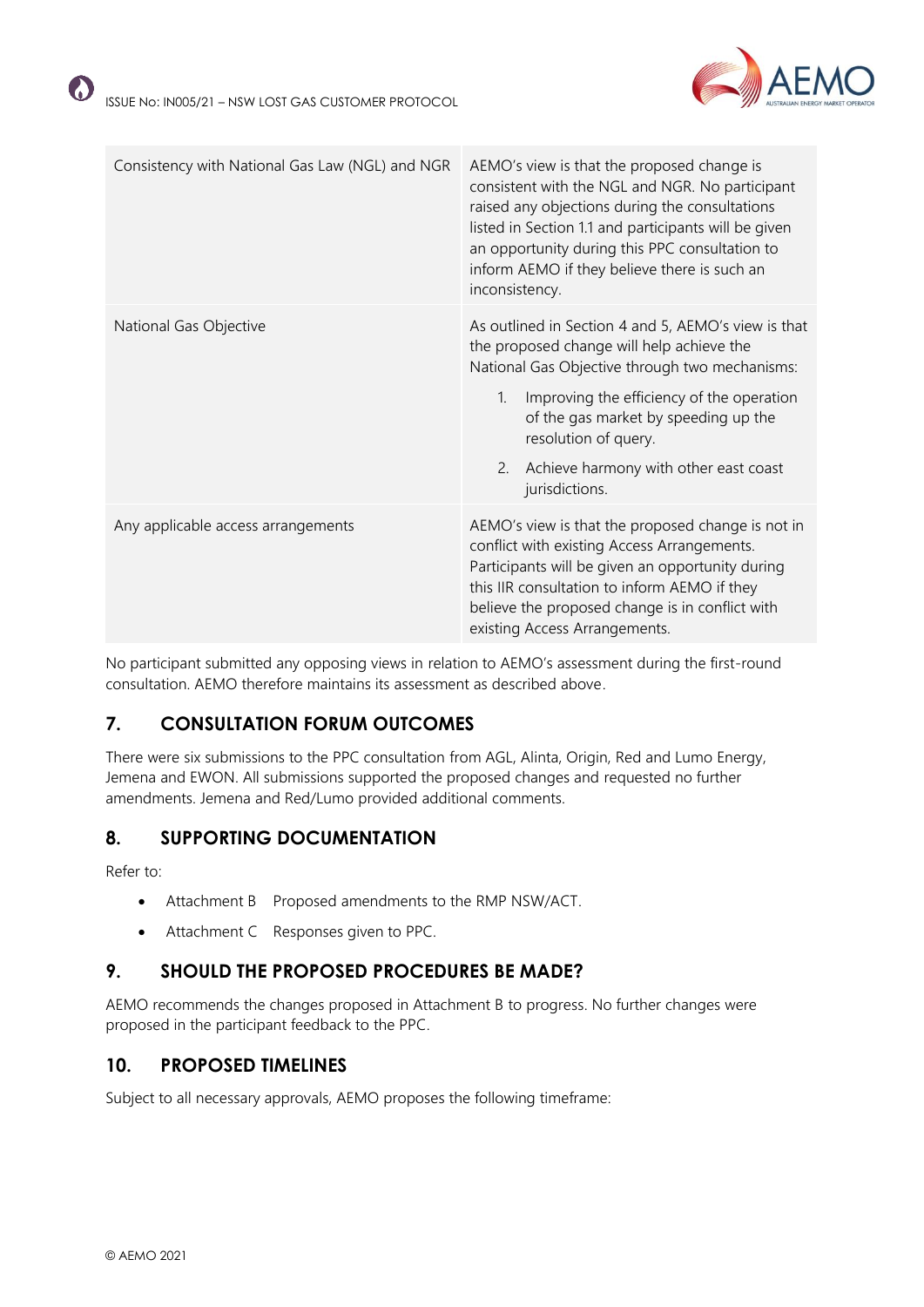

| Consistency with National Gas Law (NGL) and NGR | AEMO's view is that the proposed change is<br>consistent with the NGL and NGR. No participant<br>raised any objections during the consultations<br>listed in Section 1.1 and participants will be given<br>an opportunity during this PPC consultation to<br>inform AEMO if they believe there is such an<br>inconsistency.                 |  |
|-------------------------------------------------|---------------------------------------------------------------------------------------------------------------------------------------------------------------------------------------------------------------------------------------------------------------------------------------------------------------------------------------------|--|
| National Gas Objective                          | As outlined in Section 4 and 5, AEMO's view is that<br>the proposed change will help achieve the<br>National Gas Objective through two mechanisms:<br>Improving the efficiency of the operation<br>$1_{-}$<br>of the gas market by speeding up the<br>resolution of query.<br>Achieve harmony with other east coast<br>2.<br>jurisdictions. |  |
| Any applicable access arrangements              | AEMO's view is that the proposed change is not in<br>conflict with existing Access Arrangements.<br>Participants will be given an opportunity during<br>this IIR consultation to inform AEMO if they<br>believe the proposed change is in conflict with<br>existing Access Arrangements.                                                    |  |

No participant submitted any opposing views in relation to AEMO's assessment during the first-round consultation. AEMO therefore maintains its assessment as described above.

# **7. CONSULTATION FORUM OUTCOMES**

There were six submissions to the PPC consultation from AGL, Alinta, Origin, Red and Lumo Energy, Jemena and EWON. All submissions supported the proposed changes and requested no further amendments. Jemena and Red/Lumo provided additional comments.

# **8. SUPPORTING DOCUMENTATION**

Refer to:

- Attachment B Proposed amendments to the RMP NSW/ACT.
- Attachment C Responses given to PPC.

# **9. SHOULD THE PROPOSED PROCEDURES BE MADE?**

AEMO recommends the changes proposed in Attachment B to progress. No further changes were proposed in the participant feedback to the PPC.

## **10. PROPOSED TIMELINES**

Subject to all necessary approvals, AEMO proposes the following timeframe: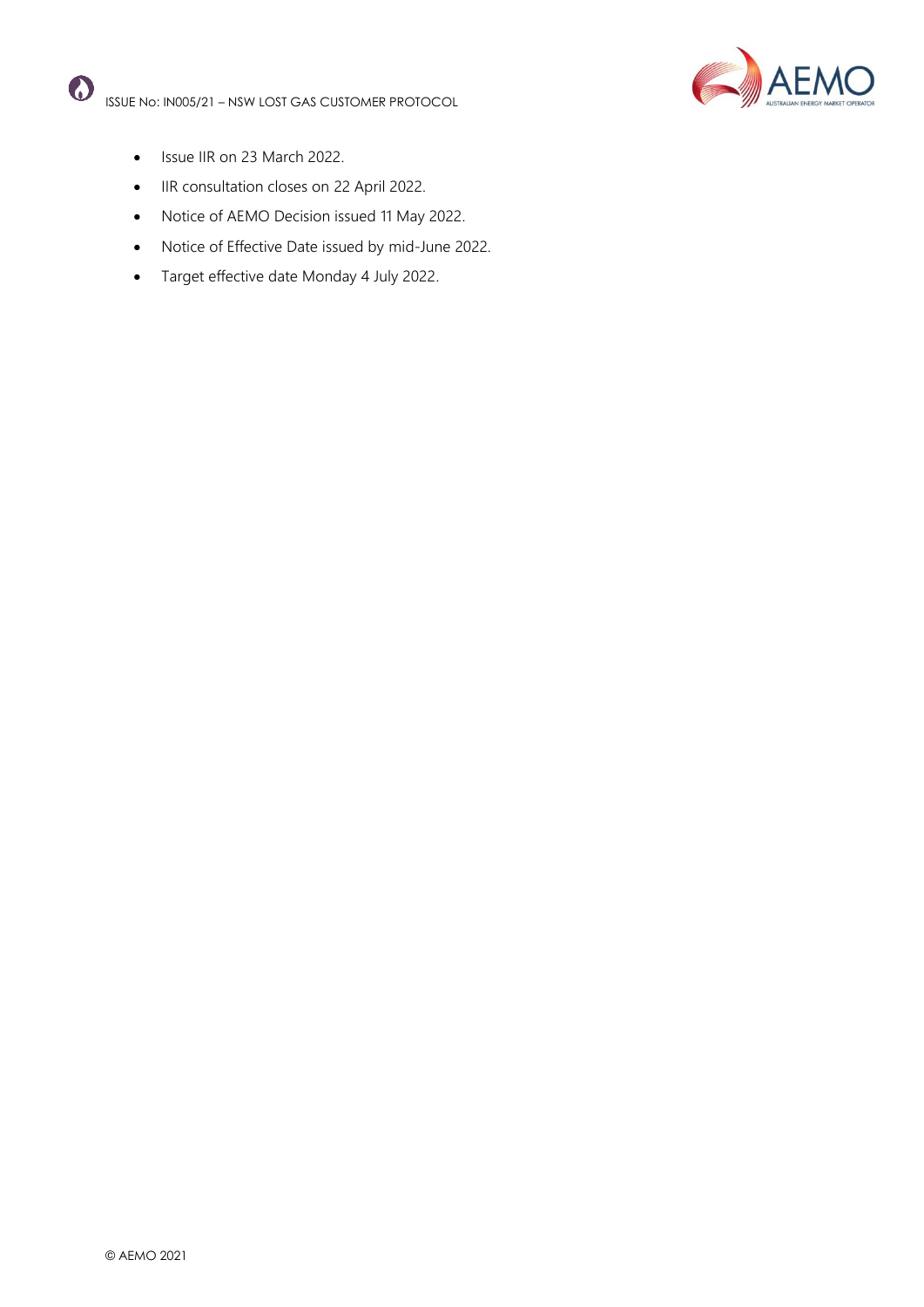



- Issue IIR on 23 March 2022.
- IIR consultation closes on 22 April 2022.
- Notice of AEMO Decision issued 11 May 2022.
- Notice of Effective Date issued by mid-June 2022.
- Target effective date Monday 4 July 2022.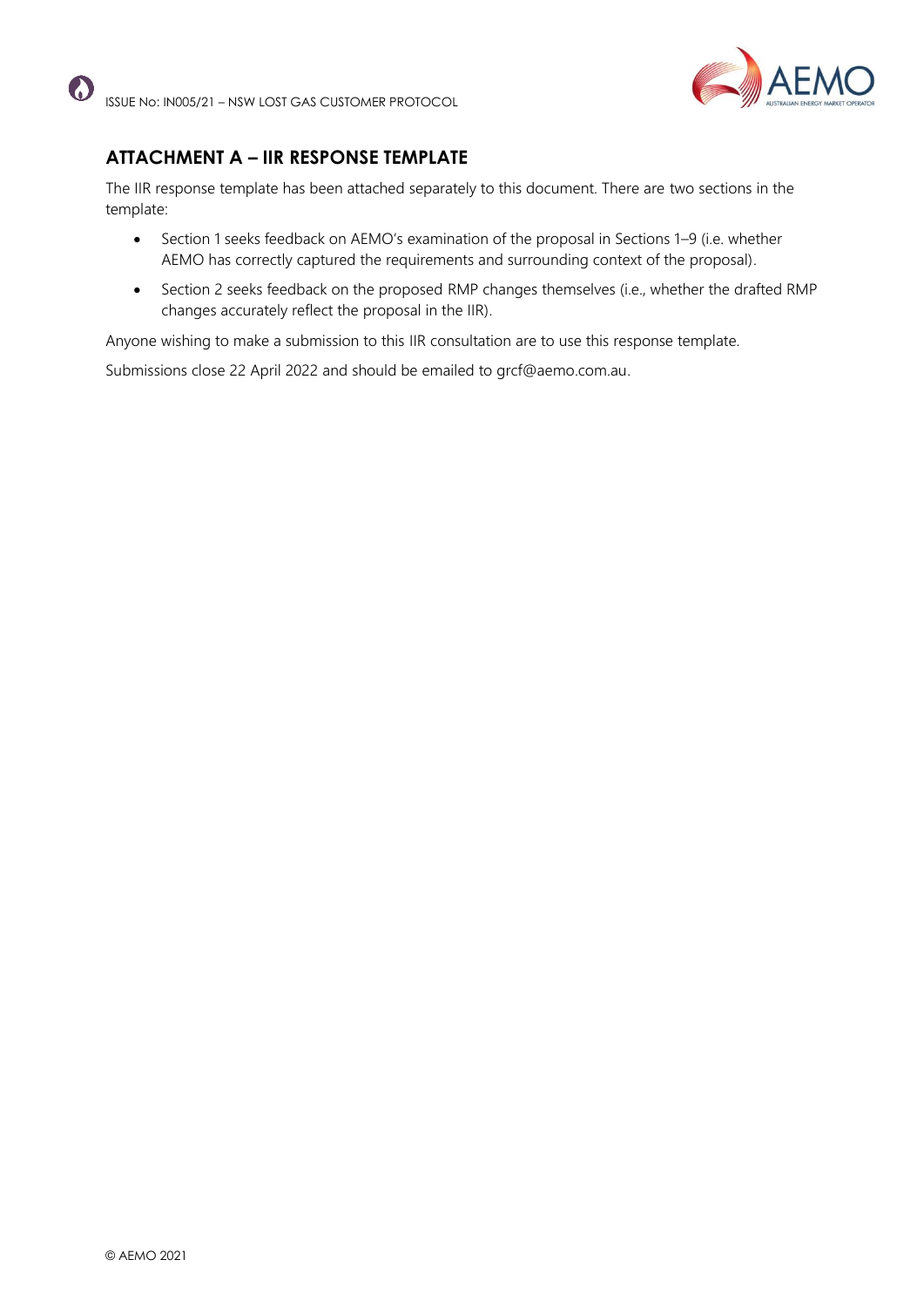

# **ATTACHMENT A – IIR RESPONSE TEMPLATE**

The IIR response template has been attached separately to this document. There are two sections in the template:

- Section 1 seeks feedback on AEMO's examination of the proposal in Sections 1–9 (i.e. whether AEMO has correctly captured the requirements and surrounding context of the proposal).
- Section 2 seeks feedback on the proposed RMP changes themselves (i.e., whether the drafted RMP changes accurately reflect the proposal in the IIR).

Anyone wishing to make a submission to this IIR consultation are to use this response template.

Submissions close 22 April 2022 and should be emailed to grcf@aemo.com.au.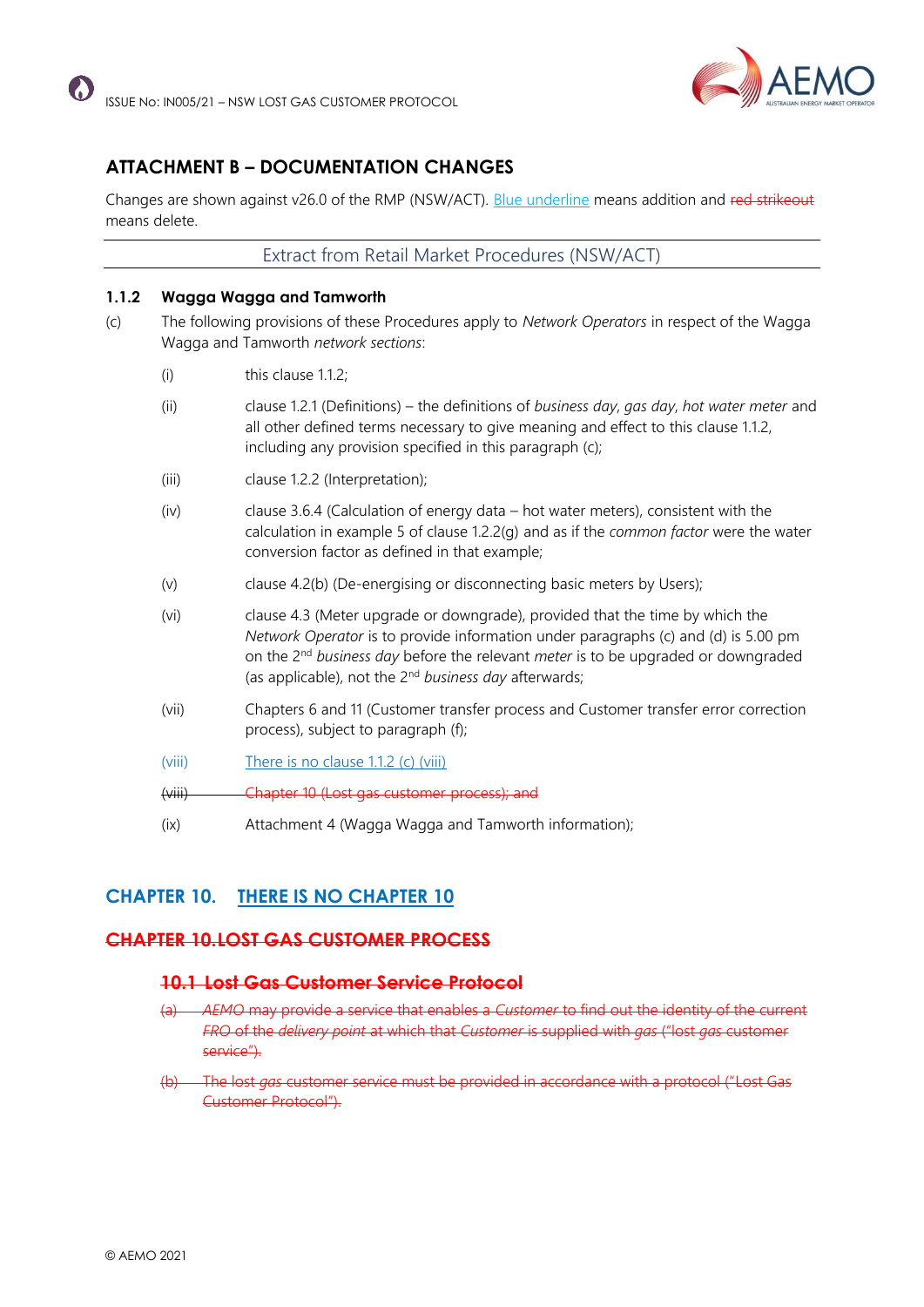

# **ATTACHMENT B – DOCUMENTATION CHANGES**

Changes are shown against v26.0 of the RMP (NSW/ACT). Blue underline means addition and red strikeout means delete.

Extract from Retail Market Procedures (NSW/ACT)

#### **1.1.2 Wagga Wagga and Tamworth**

- (c) The following provisions of these Procedures apply to *Network Operators* in respect of the Wagga Wagga and Tamworth *network sections*:
	- (i) this clause 1.1.2;
	- (ii) clause 1.2.1 (Definitions) the definitions of *business day*, *gas day*, *hot water meter* and all other defined terms necessary to give meaning and effect to this clause 1.1.2, including any provision specified in this paragraph (c);
	- (iii) clause 1.2.2 (Interpretation);
	- (iv) clause 3.6.4 (Calculation of energy data hot water meters), consistent with the calculation in example 5 of clause 1.2.2(g) and as if the *common factor* were the water conversion factor as defined in that example;
	- (v) clause 4.2(b) (De-energising or disconnecting basic meters by Users);
	- (vi) clause 4.3 (Meter upgrade or downgrade), provided that the time by which the *Network Operator* is to provide information under paragraphs (c) and (d) is 5.00 pm on the 2nd *business day* before the relevant *meter* is to be upgraded or downgraded (as applicable), not the 2nd *business day* afterwards;
	- (vii) Chapters 6 and 11 (Customer transfer process and Customer transfer error correction process), subject to paragraph (f);
	- (viii) There is no clause 1.1.2 (c) (viii)
	- (viii) Chapter 10 (Lost gas customer process); and
	- (ix) Attachment 4 (Wagga Wagga and Tamworth information);

#### **CHAPTER 10. THERE IS NO CHAPTER 10**

#### **CHAPTER 10.LOST GAS CUSTOMER PROCESS**

#### **10.1 Lost Gas Customer Service Protocol**

- (a) *AEMO* may provide a service that enables a *Customer* to find out the identity of the current *FRO* of the *delivery point* at which that *Customer* is supplied with *gas* ("lost *gas* customer service").
- (b) The lost *gas* customer service must be provided in accordance with a protocol ("Lost Gas Customer Protocol").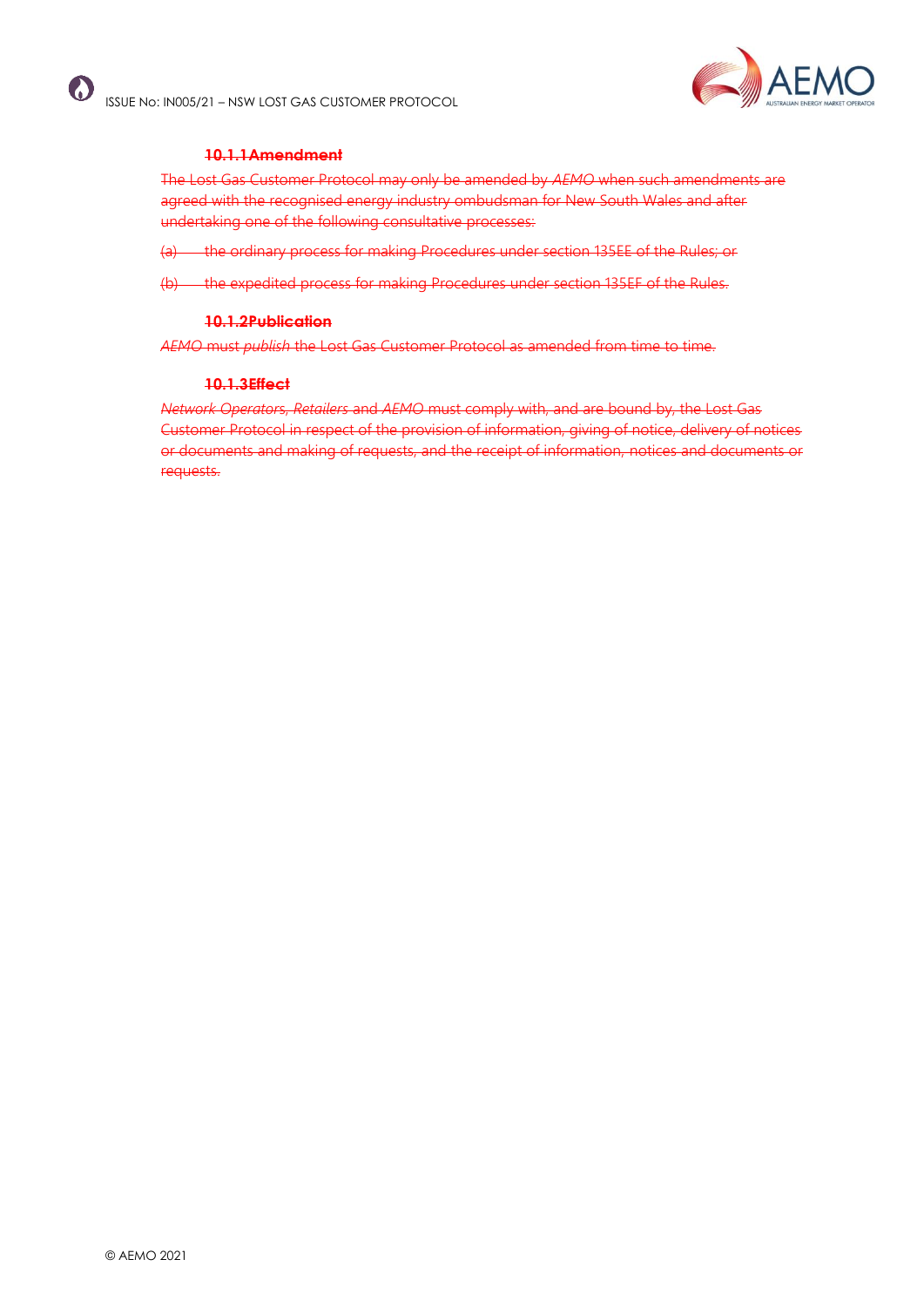

#### **10.1.1Amendment**

The Lost Gas Customer Protocol may only be amended by *AEMO* when such amendments are agreed with the recognised energy industry ombudsman for New South Wales and after undertaking one of the following consultative processes:

- (a) the ordinary process for making Procedures under section 135EE of the Rules; or
- (b) the expedited process for making Procedures under section 135EF of the Rules.

#### **10.1.2Publication**

*AEMO* must *publish* the Lost Gas Customer Protocol as amended from time to time.

#### **10.1.3Effect**

*Network Operator*s, *Retailers* and *AEMO* must comply with, and are bound by, the Lost Gas Customer Protocol in respect of the provision of information, giving of notice, delivery of notices or documents and making of requests, and the receipt of information, notices and documents or requests.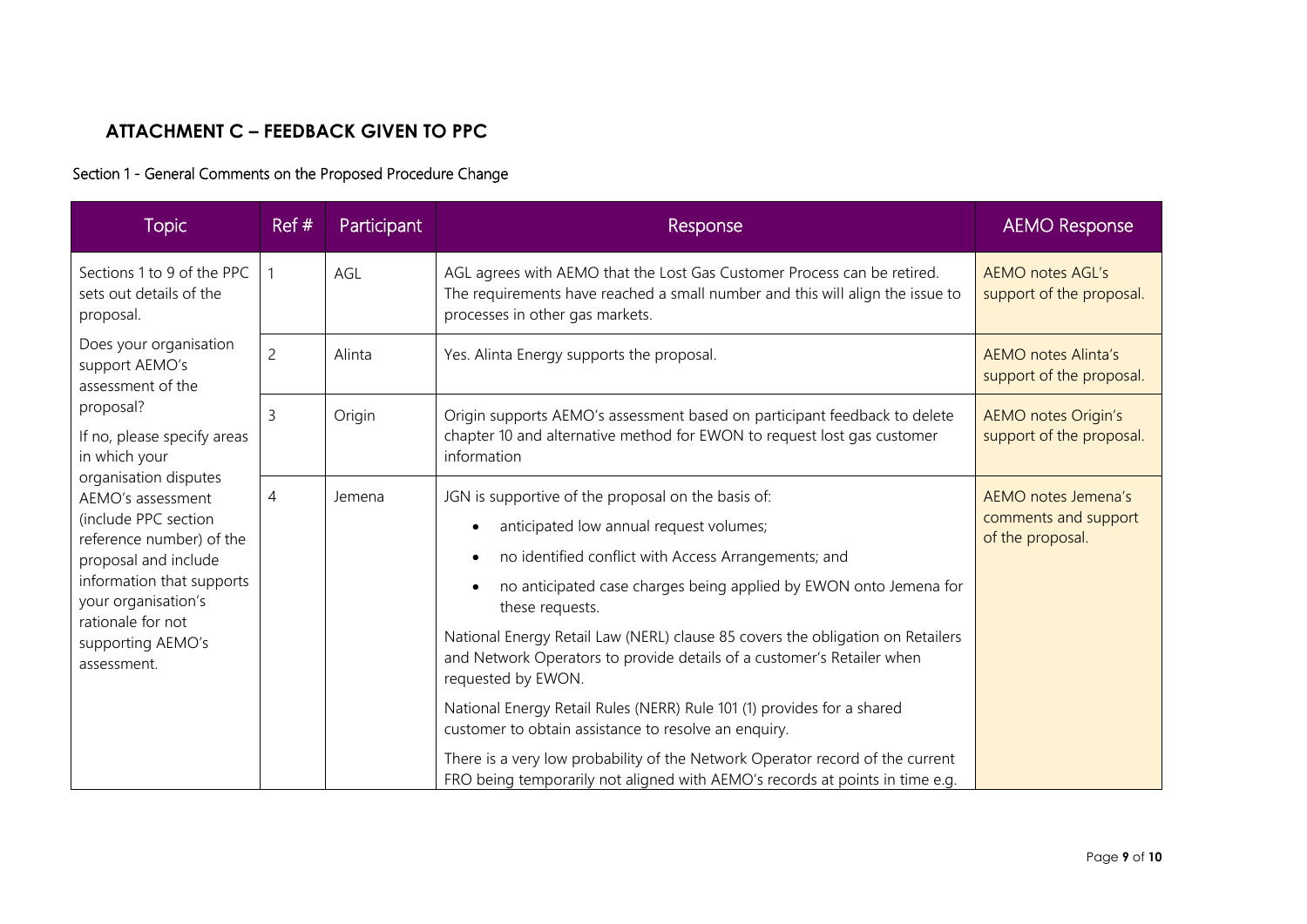# **ATTACHMENT C – FEEDBACK GIVEN TO PPC**

#### Section 1 - General Comments on the Proposed Procedure Change

| <b>Topic</b>                                                                                                                                                                                                                                                                                                                                                                                                                            | Ref#           | Participant | Response                                                                                                                                                                                                                                                                                                                                                                                                                                                                                                                                                                                                                                                                                                                           | <b>AEMO Response</b>                                            |
|-----------------------------------------------------------------------------------------------------------------------------------------------------------------------------------------------------------------------------------------------------------------------------------------------------------------------------------------------------------------------------------------------------------------------------------------|----------------|-------------|------------------------------------------------------------------------------------------------------------------------------------------------------------------------------------------------------------------------------------------------------------------------------------------------------------------------------------------------------------------------------------------------------------------------------------------------------------------------------------------------------------------------------------------------------------------------------------------------------------------------------------------------------------------------------------------------------------------------------------|-----------------------------------------------------------------|
| Sections 1 to 9 of the PPC<br>sets out details of the<br>proposal.<br>Does your organisation<br>support AEMO's<br>assessment of the<br>proposal?<br>If no, please specify areas<br>in which your<br>organisation disputes<br>AEMO's assessment<br>(include PPC section<br>reference number) of the<br>proposal and include<br>information that supports<br>your organisation's<br>rationale for not<br>supporting AEMO's<br>assessment. |                | AGL         | AGL agrees with AEMO that the Lost Gas Customer Process can be retired.<br>The requirements have reached a small number and this will align the issue to<br>processes in other gas markets.                                                                                                                                                                                                                                                                                                                                                                                                                                                                                                                                        | <b>AEMO notes AGL's</b><br>support of the proposal.             |
|                                                                                                                                                                                                                                                                                                                                                                                                                                         | $\overline{c}$ | Alinta      | Yes. Alinta Energy supports the proposal.                                                                                                                                                                                                                                                                                                                                                                                                                                                                                                                                                                                                                                                                                          | <b>AEMO</b> notes Alinta's<br>support of the proposal.          |
|                                                                                                                                                                                                                                                                                                                                                                                                                                         | 3              | Origin      | Origin supports AEMO's assessment based on participant feedback to delete<br>chapter 10 and alternative method for EWON to request lost gas customer<br>information                                                                                                                                                                                                                                                                                                                                                                                                                                                                                                                                                                | <b>AEMO</b> notes Origin's<br>support of the proposal.          |
|                                                                                                                                                                                                                                                                                                                                                                                                                                         | $\overline{4}$ | Jemena      | JGN is supportive of the proposal on the basis of:<br>anticipated low annual request volumes;<br>no identified conflict with Access Arrangements; and<br>no anticipated case charges being applied by EWON onto Jemena for<br>these requests.<br>National Energy Retail Law (NERL) clause 85 covers the obligation on Retailers<br>and Network Operators to provide details of a customer's Retailer when<br>requested by EWON.<br>National Energy Retail Rules (NERR) Rule 101 (1) provides for a shared<br>customer to obtain assistance to resolve an enquiry.<br>There is a very low probability of the Network Operator record of the current<br>FRO being temporarily not aligned with AEMO's records at points in time e.g. | AEMO notes Jemena's<br>comments and support<br>of the proposal. |